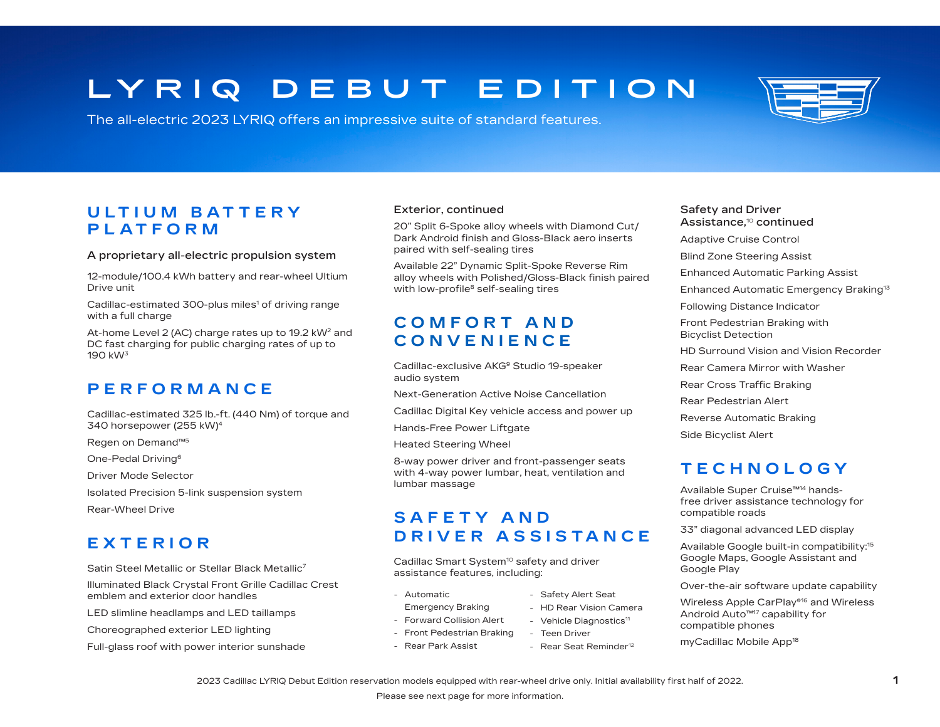# **LY R I Q D E B U T E D I T I O N**

The all-electric 2023 LYRIQ offers an impressive suite of standard features.

## **U LT I U M B A T T E R Y PLATFORM**

#### A proprietary all-electric propulsion system

12-module/100.4 kWh battery and rear-wheel Ultium Drive unit

Cadillac-estimated  $300$ -plus miles<sup>1</sup> of driving range with a full charge

At-home Level 2 (AC) charge rates up to 19.2 kW<sup>2</sup> and DC fast charging for public charging rates of up to 190 kW3

### **PERFORMANCE**

Cadillac-estimated 325 lb.-ft. (440 Nm) of torque and 340 horsepower (255 kW)4

Regen on Demand™5

One-Pedal Driving6

Driver Mode Selector

Isolated Precision 5-link suspension system

Rear-Wheel Drive

# **EXTERIOR**

Satin Steel Metallic or Stellar Black Metallic7

Illuminated Black Crystal Front Grille Cadillac Crest emblem and exterior door handles

LED slimline headlamps and LED taillamps

Choreographed exterior LED lighting

Full-glass roof with power interior sunshade

#### Exterior, continued

20" Split 6-Spoke alloy wheels with Diamond Cut/ Dark Android finish and Gloss-Black aero inserts paired with self-sealing tires

Available 22" Dynamic Split-Spoke Reverse Rim alloy wheels with Polished/Gloss-Black finish paired with low-profile<sup>8</sup> self-sealing tires

# **C O M F O R T A N D CONVENIENCE**

Cadillac-exclusive AKG<sup>9</sup> Studio 19-speaker audio system

Next-Generation Active Noise Cancellation

Cadillac Digital Key vehicle access and power up

Hands-Free Power Liftgate

Heated Steering Wheel

8-way power driver and front-passenger seats with 4-way power lumbar, heat, ventilation and lumbar massage

### **S A F E T Y A N D DRIVER ASSISTANCE**

Cadillac Smart System<sup>10</sup> safety and driver assistance features, including:

- Automatic
- Emergency Braking
- Forward Collision Alert
- Front Pedestrian Braking
- Rear Park Assist
- Safety Alert Seat
- HD Rear Vision Camera

- Rear Seat Reminder<sup>12</sup>

- Vehicle Diagnostics<sup>11</sup>
- Teen Driver
- 
- Safety and Driver Assistance,10 continued Adaptive Cruise Control
- Blind Zone Steering Assist
- Enhanced Automatic Parking Assist
- Enhanced Automatic Emergency Braking13
- Following Distance Indicator

Front Pedestrian Braking with Bicyclist Detection

- HD Surround Vision and Vision Recorder
- Rear Camera Mirror with Washer
- Rear Cross Traffic Braking
- Rear Pedestrian Alert
- Reverse Automatic Braking
- Side Bicyclist Alert

## **TECHNOLOGY**

Available Super Cruise™14 handsfree driver assistance technology for compatible roads

33" diagonal advanced LED display

Available Google built-in compatibility:15 Google Maps, Google Assistant and Google Play

Over-the-air software update capability

Wireless Apple CarPlay®16 and Wireless Android Auto™17 capability for compatible phones

myCadillac Mobile App18